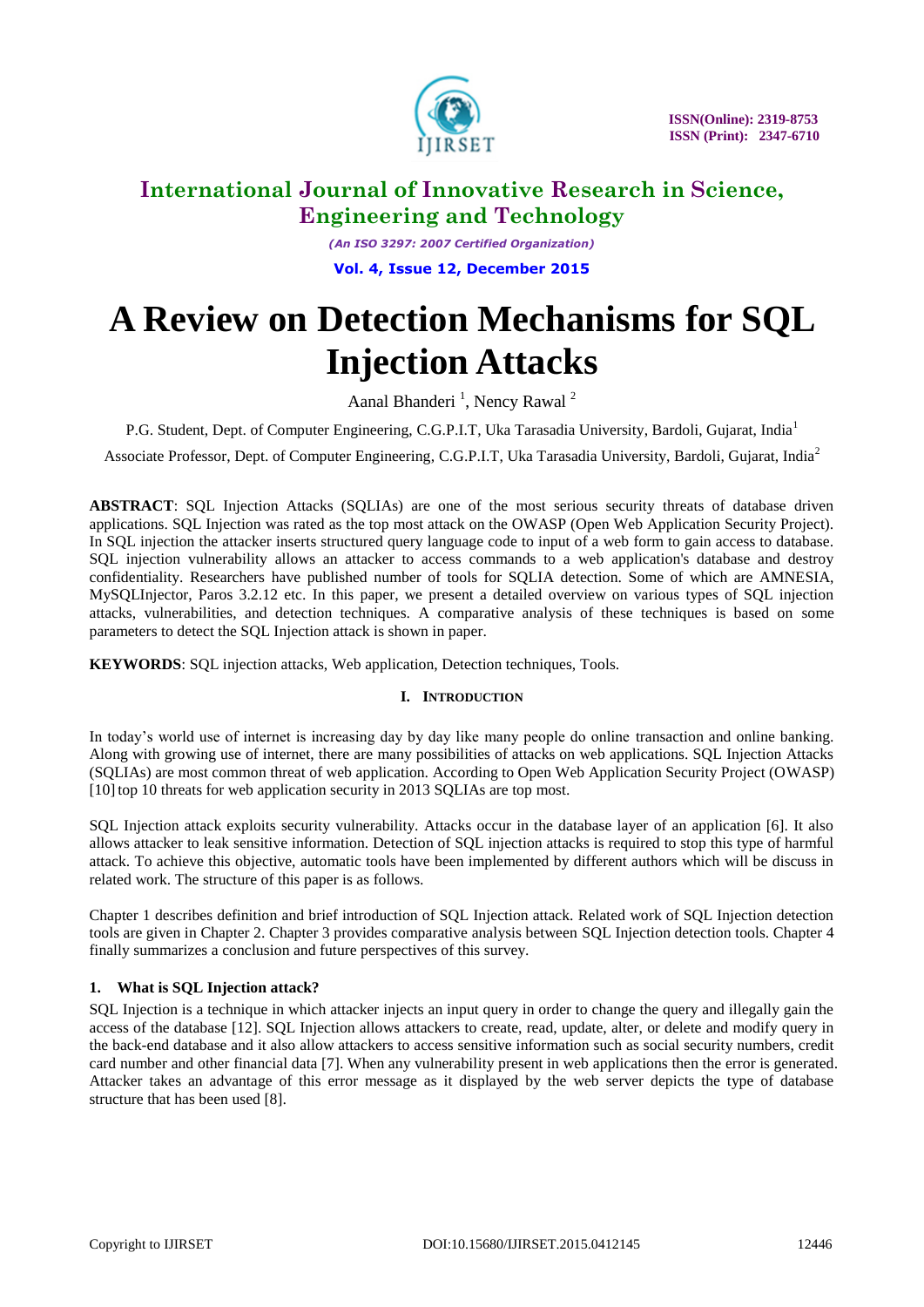

*(An ISO 3297: 2007 Certified Organization)* **Vol. 4, Issue 12, December 2015**

# **A Review on Detection Mechanisms for SQL Injection Attacks**

Aanal Bhanderi<sup>1</sup>, Nency Rawal<sup>2</sup>

P.G. Student, Dept. of Computer Engineering, C.G.P.I.T, Uka Tarasadia University, Bardoli, Gujarat, India<sup>1</sup>

Associate Professor, Dept. of Computer Engineering, C.G.P.I.T, Uka Tarasadia University, Bardoli, Gujarat, India<sup>2</sup>

**ABSTRACT**: SQL Injection Attacks (SQLIAs) are one of the most serious security threats of database driven applications. SQL Injection was rated as the top most attack on the OWASP (Open Web Application Security Project). In SQL injection the attacker inserts structured query language code to input of a web form to gain access to database. SQL injection vulnerability allows an attacker to access commands to a web application's database and destroy confidentiality. Researchers have published number of tools for SQLIA detection. Some of which are AMNESIA, MySQLInjector, Paros 3.2.12 etc. In this paper, we present a detailed overview on various types of SQL injection attacks, vulnerabilities, and detection techniques. A comparative analysis of these techniques is based on some parameters to detect the SQL Injection attack is shown in paper.

**KEYWORDS**: SQL injection attacks, Web application, Detection techniques, Tools.

### **I. INTRODUCTION**

In today"s world use of internet is increasing day by day like many people do online transaction and online banking. Along with growing use of internet, there are many possibilities of attacks on web applications. SQL Injection Attacks (SQLIAs) are most common threat of web application. According to Open Web Application Security Project (OWASP) [10] top 10 threats for web application security in 2013 SQLIAs are top most.

SQL Injection attack exploits security vulnerability. Attacks occur in the database layer of an application [6]. It also allows attacker to leak sensitive information. Detection of SQL injection attacks is required to stop this type of harmful attack. To achieve this objective, automatic tools have been implemented by different authors which will be discuss in related work. The structure of this paper is as follows.

Chapter 1 describes definition and brief introduction of SQL Injection attack. Related work of SQL Injection detection tools are given in Chapter 2. Chapter 3 provides comparative analysis between SQL Injection detection tools. Chapter 4 finally summarizes a conclusion and future perspectives of this survey.

### **1. What is SQL Injection attack?**

SQL Injection is a technique in which attacker injects an input query in order to change the query and illegally gain the access of the database [12]. SQL Injection allows attackers to create, read, update, alter, or delete and modify query in the back-end database and it also allow attackers to access sensitive information such as social security numbers, credit card number and other financial data [7]. When any vulnerability present in web applications then the error is generated. Attacker takes an advantage of this error message as it displayed by the web server depicts the type of database structure that has been used [8].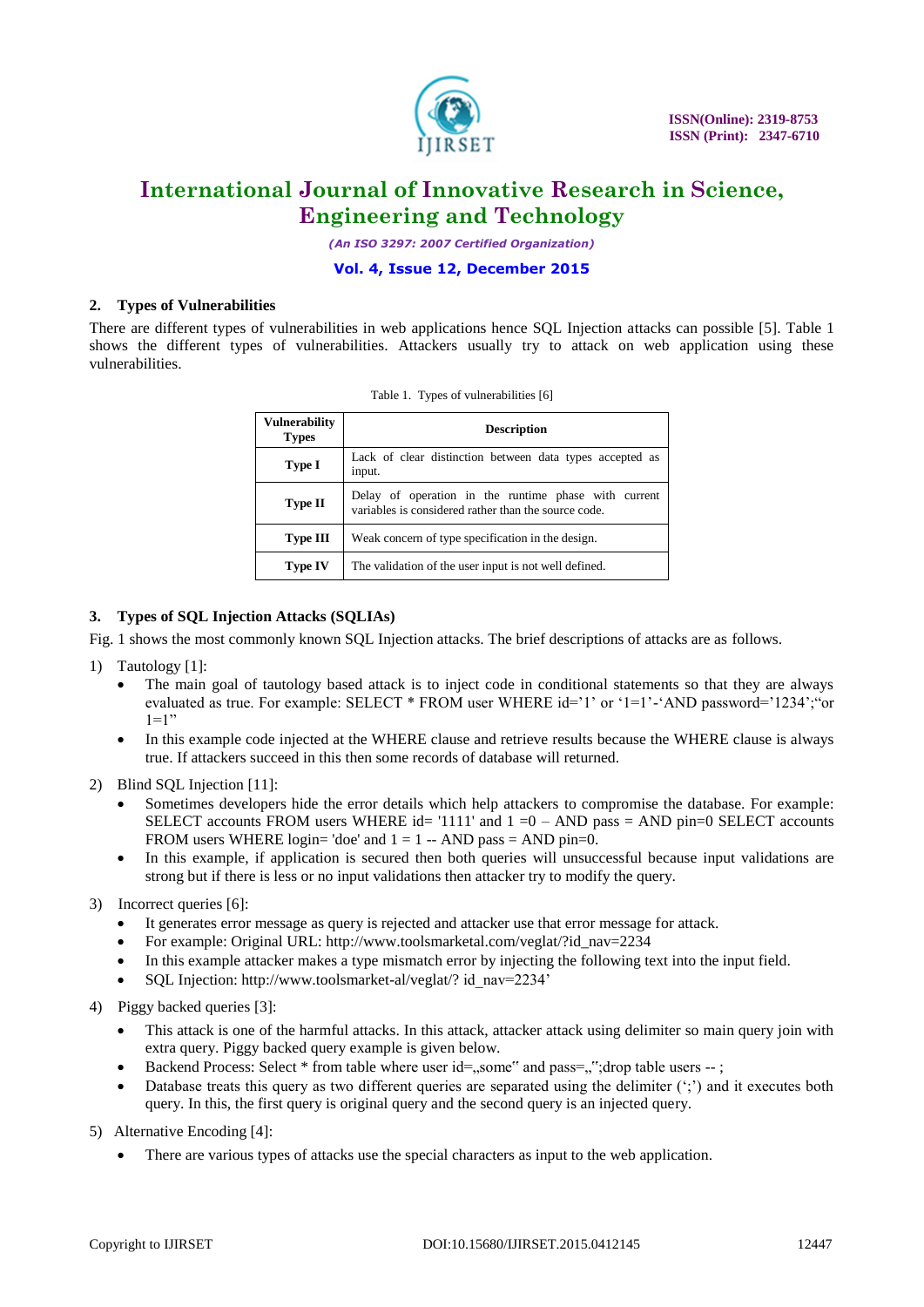

*(An ISO 3297: 2007 Certified Organization)*

### **Vol. 4, Issue 12, December 2015**

### **2. Types of Vulnerabilities**

There are different types of vulnerabilities in web applications hence SQL Injection attacks can possible [5]. Table 1 shows the different types of vulnerabilities. Attackers usually try to attack on web application using these vulnerabilities.

| Vulnerability<br><b>Types</b> | <b>Description</b>                                                                                           |  |  |
|-------------------------------|--------------------------------------------------------------------------------------------------------------|--|--|
| Type I                        | Lack of clear distinction between data types accepted as<br>input.                                           |  |  |
| Type II                       | Delay of operation in the runtime phase with current<br>variables is considered rather than the source code. |  |  |
| Type III                      | Weak concern of type specification in the design.                                                            |  |  |
| <b>Type IV</b>                | The validation of the user input is not well defined.                                                        |  |  |

Table 1. Types of vulnerabilities [6]

### **3. Types of SQL Injection Attacks (SQLIAs)**

Fig. 1 shows the most commonly known SQL Injection attacks. The brief descriptions of attacks are as follows.

- 1) Tautology [1]:
	- The main goal of tautology based attack is to inject code in conditional statements so that they are always evaluated as true. For example: SELECT \* FROM user WHERE id='1' or '1=1'-'AND password='1234';"or  $1=1"$
	- In this example code injected at the WHERE clause and retrieve results because the WHERE clause is always true. If attackers succeed in this then some records of database will returned.
- 2) Blind SQL Injection [11]:
	- Sometimes developers hide the error details which help attackers to compromise the database. For example: SELECT accounts FROM users WHERE id= '1111' and  $1 = 0 - AND$  pass = AND pin=0 SELECT accounts FROM users WHERE login= 'doe' and  $1 = 1 - AND$  pass = AND pin=0.
	- In this example, if application is secured then both queries will unsuccessful because input validations are strong but if there is less or no input validations then attacker try to modify the query.
- 3) Incorrect queries [6]:
	- It generates error message as query is rejected and attacker use that error message for attack.
	- For example: Original URL: http://www.toolsmarketal.com/veglat/?id\_nav=2234
	- In this example attacker makes a type mismatch error by injecting the following text into the input field.
	- SQL Injection: http://www.toolsmarket-al/veglat/? id\_nav=2234"
- 4) Piggy backed queries [3]:
	- This attack is one of the harmful attacks. In this attack, attacker attack using delimiter so main query join with extra query. Piggy backed query example is given below.
	- Backend Process: Select \* from table where user id=..some" and pass=..": drop table users -- ;
	- Database treats this query as two different queries are separated using the delimiter  $(\cdot;\cdot)$  and it executes both query. In this, the first query is original query and the second query is an injected query.
- 5) Alternative Encoding [4]:
	- There are various types of attacks use the special characters as input to the web application.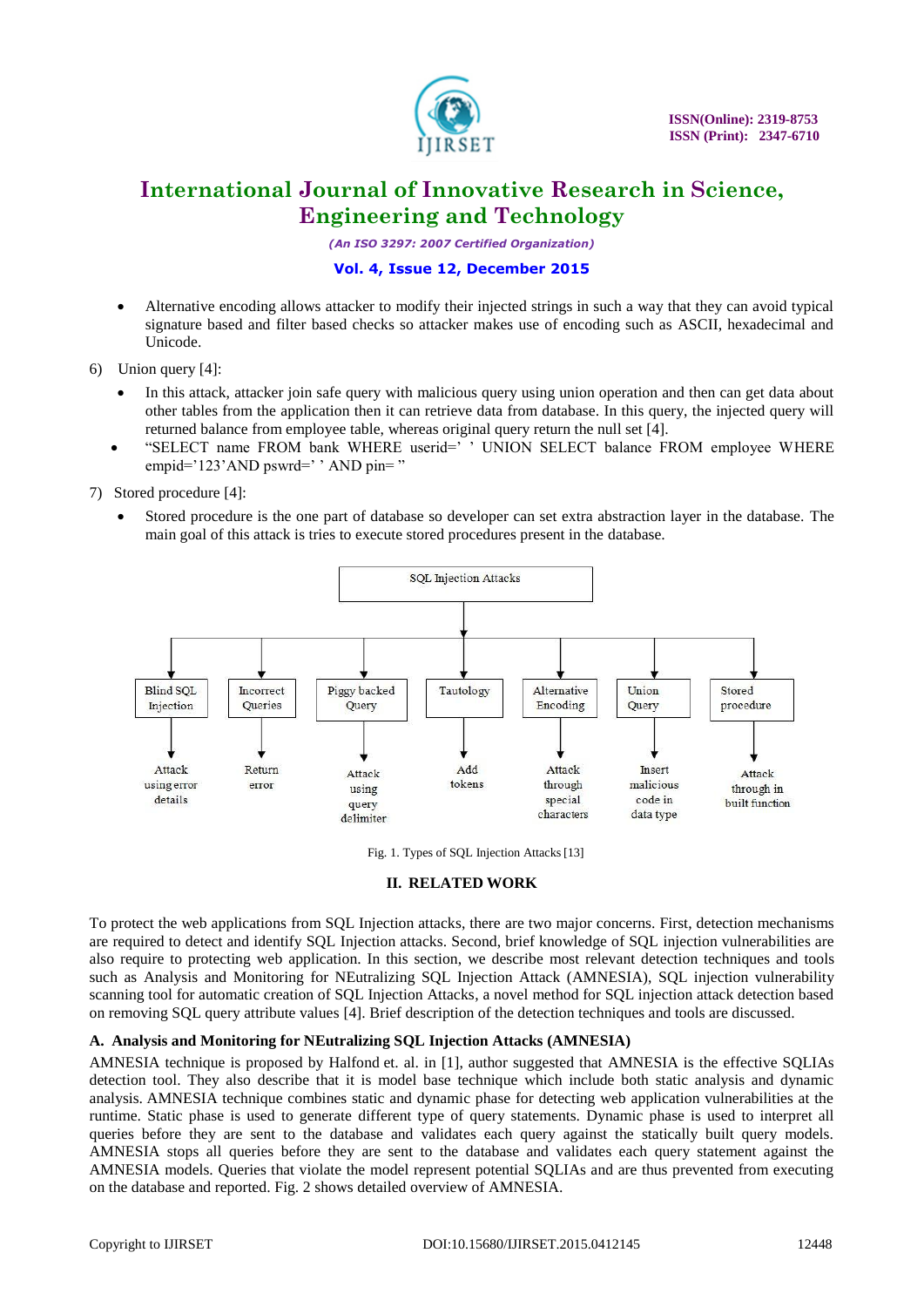

*(An ISO 3297: 2007 Certified Organization)*

### **Vol. 4, Issue 12, December 2015**

- Alternative encoding allows attacker to modify their injected strings in such a way that they can avoid typical signature based and filter based checks so attacker makes use of encoding such as ASCII, hexadecimal and Unicode.
- 6) Union query [4]:
	- In this attack, attacker join safe query with malicious query using union operation and then can get data about other tables from the application then it can retrieve data from database. In this query, the injected query will returned balance from employee table, whereas original query return the null set [4].
	- "SELECT name FROM bank WHERE userid=" " UNION SELECT balance FROM employee WHERE empid="123"AND pswrd=" " AND pin="
- 7) Stored procedure [4]:
	- Stored procedure is the one part of database so developer can set extra abstraction layer in the database. The main goal of this attack is tries to execute stored procedures present in the database.



Fig. 1. Types of SQL Injection Attacks[13]

### **II. RELATED WORK**

To protect the web applications from SQL Injection attacks, there are two major concerns. First, detection mechanisms are required to detect and identify SQL Injection attacks. Second, brief knowledge of SQL injection vulnerabilities are also require to protecting web application. In this section, we describe most relevant detection techniques and tools such as Analysis and Monitoring for NEutralizing SQL Injection Attack (AMNESIA), SQL injection vulnerability scanning tool for automatic creation of SQL Injection Attacks, a novel method for SQL injection attack detection based on removing SQL query attribute values [4]. Brief description of the detection techniques and tools are discussed.

### **A. Analysis and Monitoring for NEutralizing SQL Injection Attacks (AMNESIA)**

AMNESIA technique is proposed by Halfond et. al. in [1], author suggested that AMNESIA is the effective SQLIAs detection tool. They also describe that it is model base technique which include both static analysis and dynamic analysis. AMNESIA technique combines static and dynamic phase for detecting web application vulnerabilities at the runtime. Static phase is used to generate different type of query statements. Dynamic phase is used to interpret all queries before they are sent to the database and validates each query against the statically built query models. AMNESIA stops all queries before they are sent to the database and validates each query statement against the AMNESIA models. Queries that violate the model represent potential SQLIAs and are thus prevented from executing on the database and reported. Fig. 2 shows detailed overview of AMNESIA.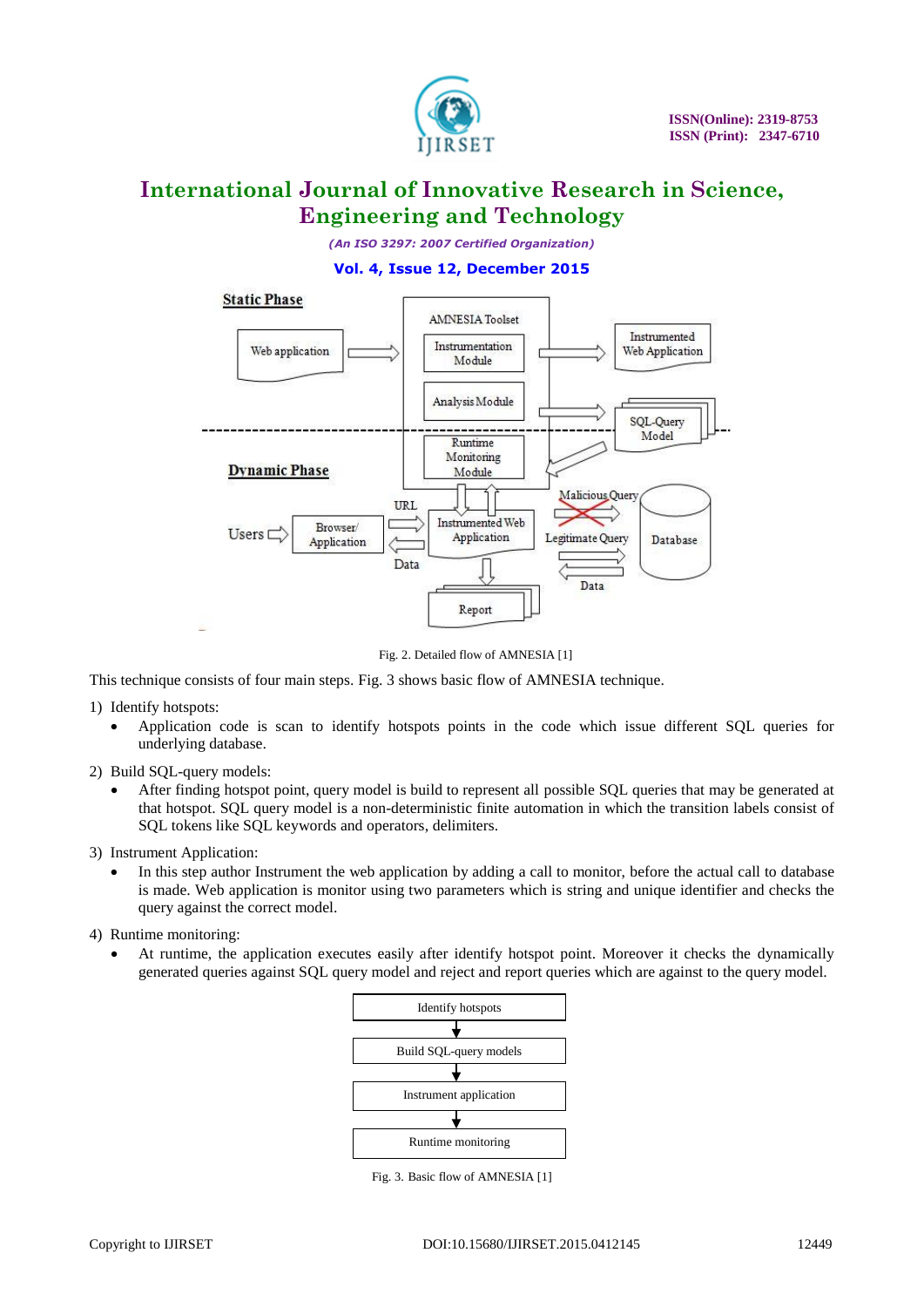

*(An ISO 3297: 2007 Certified Organization)*

### **Vol. 4, Issue 12, December 2015**



Fig. 2. Detailed flow of AMNESIA [1]

This technique consists of four main steps. Fig. 3 shows basic flow of AMNESIA technique.

1) Identify hotspots:

- Application code is scan to identify hotspots points in the code which issue different SQL queries for underlying database.
- 2) Build SQL-query models:
	- After finding hotspot point, query model is build to represent all possible SQL queries that may be generated at that hotspot. SQL query model is a non-deterministic finite automation in which the transition labels consist of SQL tokens like SQL keywords and operators, delimiters.

3)Instrument Application:

 In this step author Instrument the web application by adding a call to monitor, before the actual call to database is made. Web application is monitor using two parameters which is string and unique identifier and checks the query against the correct model.

4) Runtime monitoring:

 At runtime, the application executes easily after identify hotspot point. Moreover it checks the dynamically generated queries against SQL query model and reject and report queries which are against to the query model.



Fig. 3. Basic flow of AMNESIA [1]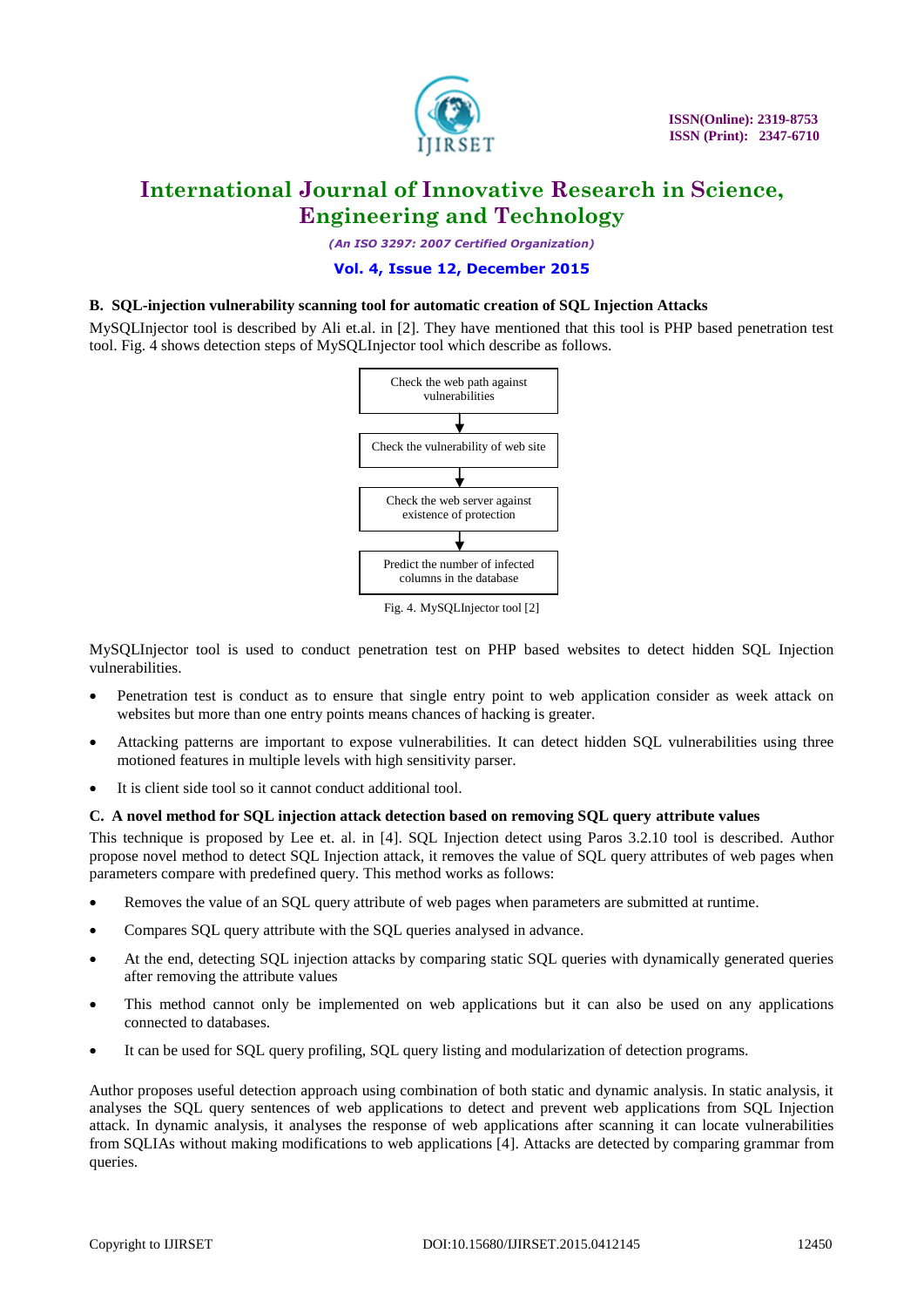

*(An ISO 3297: 2007 Certified Organization)*

### **Vol. 4, Issue 12, December 2015**

### **B. SQL-injection vulnerability scanning tool for automatic creation of SQL Injection Attacks**

MySQLInjector tool is described by Ali et.al. in [2]. They have mentioned that this tool is PHP based penetration test tool. Fig. 4 shows detection steps of MySQLInjector tool which describe as follows.



Fig. 4. MySQLInjector tool [2]

MySQLInjector tool is used to conduct penetration test on PHP based websites to detect hidden SQL Injection vulnerabilities.

- Penetration test is conduct as to ensure that single entry point to web application consider as week attack on websites but more than one entry points means chances of hacking is greater.
- Attacking patterns are important to expose vulnerabilities. It can detect hidden SQL vulnerabilities using three motioned features in multiple levels with high sensitivity parser.
- It is client side tool so it cannot conduct additional tool.

#### **C. A novel method for SQL injection attack detection based on removing SQL query attribute values**

This technique is proposed by Lee et. al. in [4]. SQL Injection detect using Paros 3.2.10 tool is described. Author propose novel method to detect SQL Injection attack, it removes the value of SQL query attributes of web pages when parameters compare with predefined query. This method works as follows:

- Removes the value of an SQL query attribute of web pages when parameters are submitted at runtime.
- Compares SQL query attribute with the SQL queries analysed in advance.
- At the end, detecting SQL injection attacks by comparing static SQL queries with dynamically generated queries after removing the attribute values
- This method cannot only be implemented on web applications but it can also be used on any applications connected to databases.
- It can be used for SQL query profiling, SQL query listing and modularization of detection programs.

Author proposes useful detection approach using combination of both static and dynamic analysis. In static analysis, it analyses the SQL query sentences of web applications to detect and prevent web applications from SQL Injection attack. In dynamic analysis, it analyses the response of web applications after scanning it can locate vulnerabilities from SQLIAs without making modifications to web applications [4]. Attacks are detected by comparing grammar from queries.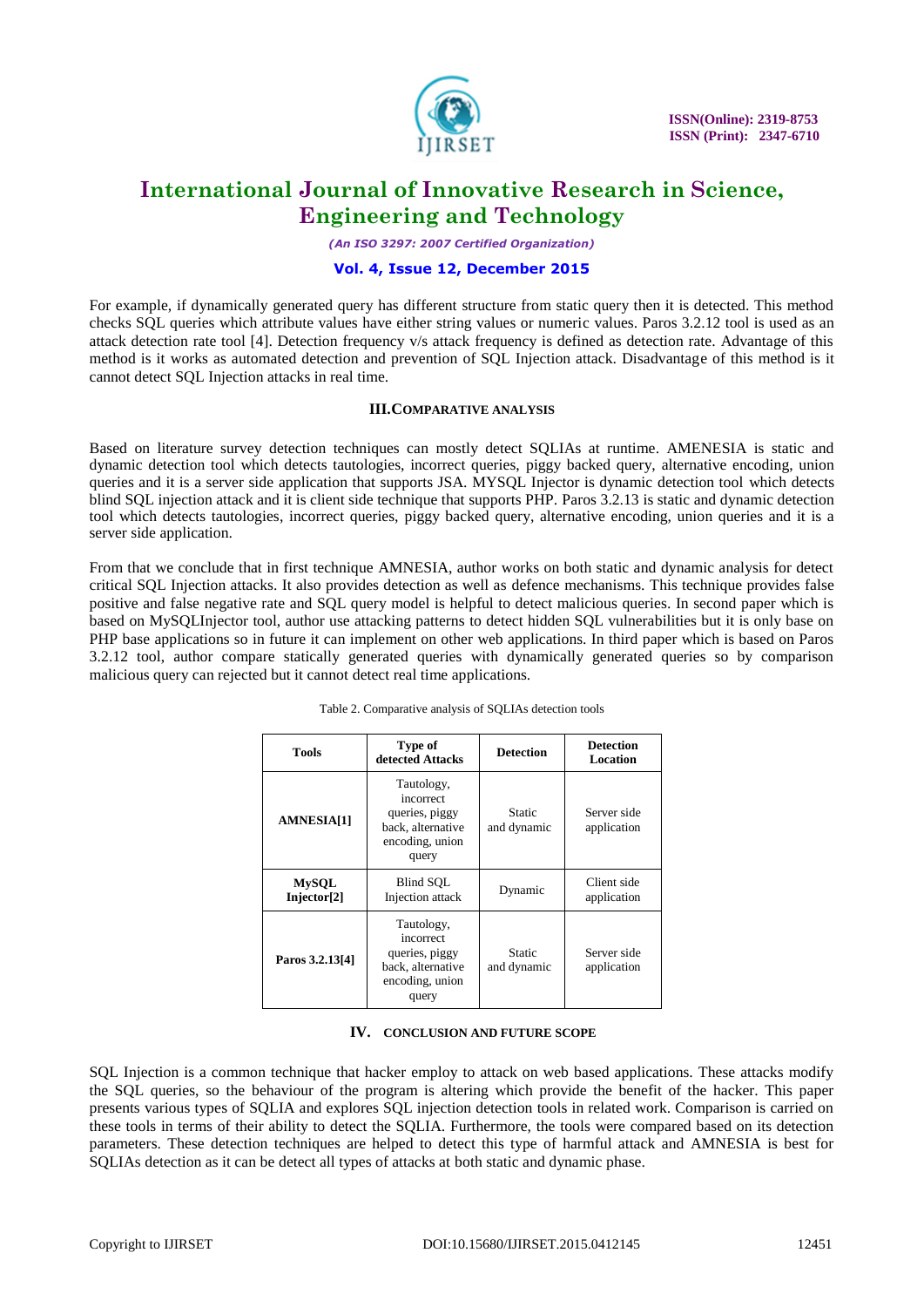

*(An ISO 3297: 2007 Certified Organization)*

### **Vol. 4, Issue 12, December 2015**

For example, if dynamically generated query has different structure from static query then it is detected. This method checks SQL queries which attribute values have either string values or numeric values. Paros 3.2.12 tool is used as an attack detection rate tool [4]. Detection frequency v/s attack frequency is defined as detection rate. Advantage of this method is it works as automated detection and prevention of SQL Injection attack. Disadvantage of this method is it cannot detect SQL Injection attacks in real time.

#### **III.COMPARATIVE ANALYSIS**

Based on literature survey detection techniques can mostly detect SQLIAs at runtime. AMENESIA is static and dynamic detection tool which detects tautologies, incorrect queries, piggy backed query, alternative encoding, union queries and it is a server side application that supports JSA. MYSQL Injector is dynamic detection tool which detects blind SQL injection attack and it is client side technique that supports PHP. Paros 3.2.13 is static and dynamic detection tool which detects tautologies, incorrect queries, piggy backed query, alternative encoding, union queries and it is a server side application.

From that we conclude that in first technique AMNESIA, author works on both static and dynamic analysis for detect critical SQL Injection attacks. It also provides detection as well as defence mechanisms. This technique provides false positive and false negative rate and SQL query model is helpful to detect malicious queries. In second paper which is based on MySQLInjector tool, author use attacking patterns to detect hidden SQL vulnerabilities but it is only base on PHP base applications so in future it can implement on other web applications. In third paper which is based on Paros 3.2.12 tool, author compare statically generated queries with dynamically generated queries so by comparison malicious query can rejected but it cannot detect real time applications.

| <b>Tools</b>                            | Type of<br>detected Attacks                                                                | <b>Detection</b>      | <b>Detection</b><br>Location |
|-----------------------------------------|--------------------------------------------------------------------------------------------|-----------------------|------------------------------|
| <b>AMNESIA[1]</b>                       | Tautology,<br>incorrect<br>queries, piggy<br>back, alternative<br>encoding, union<br>query | Static<br>and dynamic | Server side<br>application   |
| <b>MySQL</b><br>Injector <sup>[2]</sup> | Blind SOL<br>Injection attack                                                              | Dynamic               | Client side<br>application   |
| Paros 3.2.13[4]                         | Tautology,<br>incorrect<br>queries, piggy<br>back, alternative<br>encoding, union<br>query | Static<br>and dynamic | Server side<br>application   |

#### Table 2. Comparative analysis of SQLIAs detection tools

#### **IV. CONCLUSION AND FUTURE SCOPE**

SQL Injection is a common technique that hacker employ to attack on web based applications. These attacks modify the SQL queries, so the behaviour of the program is altering which provide the benefit of the hacker. This paper presents various types of SQLIA and explores SQL injection detection tools in related work. Comparison is carried on these tools in terms of their ability to detect the SQLIA. Furthermore, the tools were compared based on its detection parameters. These detection techniques are helped to detect this type of harmful attack and AMNESIA is best for SQLIAs detection as it can be detect all types of attacks at both static and dynamic phase.